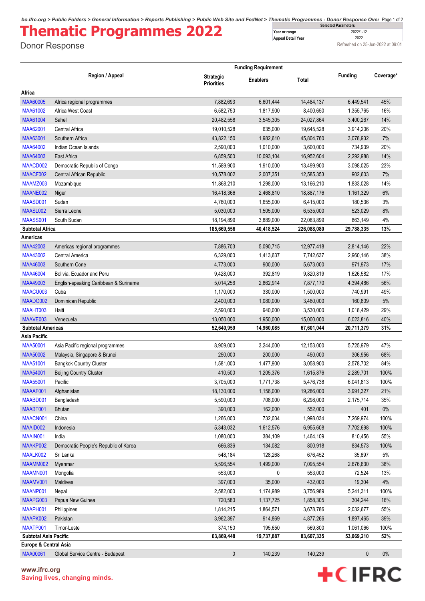*bo.ifrc.org > Public Folders > General Information > Reports Publishing > Public Web Site and FedNet > Thematic Programmes - Donor Response Over* Page 1 of 2 **Selected Parameters**

## **Thematic Programmes 2022**

Donor Response

**Year or range** 2022/1-12<br> **Appeal Detail Year** 2022 **Appeal Detail Year** 

Refreshed on 25-Jun-2022 at 09:01

|                                  |                                       |                                       | <b>Funding Requirement</b> |              |                |           |
|----------------------------------|---------------------------------------|---------------------------------------|----------------------------|--------------|----------------|-----------|
|                                  | Region / Appeal                       | <b>Strategic</b><br><b>Priorities</b> | <b>Enablers</b>            | <b>Total</b> | <b>Funding</b> | Coverage* |
| Africa                           |                                       |                                       |                            |              |                |           |
| <b>MAA60005</b>                  | Africa regional programmes            | 7,882,693                             | 6,601,444                  | 14,484,137   | 6,449,541      | 45%       |
| MAA61002                         | Africa West Coast                     | 6,582,750                             | 1,817,900                  | 8,400,650    | 1,355,765      | 16%       |
| MAA61004                         | Sahel                                 | 20,482,558                            | 3,545,305                  | 24,027,864   | 3,400,267      | 14%       |
| MAA62001                         | Central Africa                        | 19,010,528                            | 635,000                    | 19,645,528   | 3,914,206      | 20%       |
| MAA63001                         | Southern Africa                       | 43,822,150                            | 1,982,610                  | 45,804,760   | 3,078,932      | 7%        |
| MAA64002                         | Indian Ocean Islands                  | 2,590,000                             | 1,010,000                  | 3,600,000    | 734,939        | 20%       |
| MAA64003                         | East Africa                           | 6,859,500                             | 10,093,104                 | 16,952,604   | 2,292,988      | 14%       |
| MAACD002                         | Democratic Republic of Congo          | 11,589,900                            | 1,910,000                  | 13,499,900   | 3,098,025      | 23%       |
| MAACF002                         | Central African Republic              | 10,578,002                            | 2,007,351                  | 12,585,353   | 902,603        | 7%        |
| MAAMZ003                         | Mozambique                            | 11,868,210                            | 1,298,000                  | 13,166,210   | 1,833,028      | 14%       |
| MAANE002                         | Niger                                 | 16,418,366                            | 2,468,810                  | 18,887,176   | 1,161,329      | 6%        |
| MAASD001                         | Sudan                                 | 4,760,000                             | 1,655,000                  | 6,415,000    | 180,536        | 3%        |
| MAASL002                         | Sierra Leone                          | 5,030,000                             | 1,505,000                  | 6,535,000    | 523,029        | 8%        |
| MAASS001                         | South Sudan                           | 18,194,899                            | 3,889,000                  | 22,083,899   | 863,149        | 4%        |
| <b>Subtotal Africa</b>           |                                       | 185,669,556                           | 40,418,524                 | 226,088,080  | 29,788,335     | 13%       |
| Americas                         |                                       |                                       |                            |              |                |           |
| MAA42003                         | Americas regional programmes          | 7,886,703                             | 5,090,715                  | 12,977,418   | 2,814,146      | 22%       |
| MAA43002                         | Central America                       | 6,329,000                             | 1,413,637                  | 7,742,637    | 2,960,146      | 38%       |
| MAA46003                         | Southern Cone                         | 4,773,000                             | 900,000                    | 5,673,000    | 971,973        | 17%       |
| <b>MAA46004</b>                  | Bolivia, Ecuador and Peru             | 9,428,000                             | 392,819                    | 9,820,819    | 1,626,582      | 17%       |
| MAA49003                         | English-speaking Caribbean & Suriname | 5,014,256                             | 2,862,914                  | 7,877,170    | 4,394,486      | 56%       |
| MAACU003                         | Cuba                                  | 1,170,000                             | 330,000                    | 1,500,000    | 740,991        | 49%       |
| MAADO002                         | Dominican Republic                    | 2,400,000                             | 1,080,000                  | 3,480,000    | 160,809        | 5%        |
| MAAHT003                         | Haiti                                 | 2,590,000                             | 940,000                    | 3,530,000    | 1,018,429      | 29%       |
| MAAVE003                         | Venezuela                             | 13,050,000                            | 1,950,000                  | 15,000,000   | 6,023,816      | 40%       |
| <b>Subtotal Americas</b>         |                                       | 52,640,959                            | 14,960,085                 | 67,601,044   | 20,711,379     | 31%       |
| Asia Pacific                     |                                       |                                       |                            |              |                |           |
| <b>MAA50001</b>                  | Asia Pacific regional programmes      | 8,909,000                             | 3,244,000                  | 12,153,000   | 5,725,979      | 47%       |
| <b>MAA50002</b>                  | Malaysia, Singapore & Brunei          | 250,000                               | 200,000                    | 450,000      | 306,956        | 68%       |
| <b>MAA51001</b>                  | <b>Bangkok Country Cluster</b>        | 1,581,000                             | 1,477,900                  | 3,058,900    | 2,578,702      | 84%       |
| <b>MAA54001</b>                  | <b>Beijing Country Cluster</b>        | 410,500                               | 1,205,376                  | 1,615,876    | 2,289,701      | 100%      |
| <b>MAA55001</b>                  | Pacific                               | 3,705,000                             | 1,771,738                  | 5,476,738    | 6,041,813      | 100%      |
| MAAAF001                         | Afghanistan                           | 18,130,000                            | 1,156,000                  | 19,286,000   | 3,991,327      | 21%       |
| MAABD001                         | Bangladesh                            | 5,590,000                             | 708,000                    | 6,298,000    | 2,175,714      | 35%       |
| MAABT001                         | <b>Bhutan</b>                         | 390.000                               | 162,000                    | 552,000      | 401            | $0\%$     |
| MAACN001                         | China                                 | 1,266,000                             | 732,034                    | 1,998,034    | 7,269,974      | 100%      |
| MAAID002                         | Indonesia                             | 5,343,032                             | 1,612,576                  | 6,955,608    | 7,702,698      | 100%      |
| MAAIN001                         | India                                 | 1,080,000                             | 384,109                    | 1,464,109    | 810,456        | 55%       |
| MAAKP002                         | Democratic People's Republic of Korea | 666,836                               | 134,082                    | 800,918      | 834,573        | 100%      |
| MAALK002                         | Sri Lanka                             | 548,184                               | 128,268                    | 676,452      | 35,697         | $5\%$     |
| MAAMM002                         | Myanmar                               | 5,596,554                             | 1,499,000                  | 7,095,554    | 2,676,630      | 38%       |
| MAAMN001                         | Mongolia                              | 553,000                               | 0                          | 553,000      | 72,524         | 13%       |
| MAAMV001                         | Maldives                              | 397,000                               | 35,000                     | 432,000      | 19,304         | 4%        |
| MAANP001                         | Nepal                                 | 2,582,000                             | 1,174,989                  | 3,756,989    | 5,241,311      | 100%      |
| MAAPG003                         | Papua New Guinea                      | 720,580                               | 1,137,725                  | 1,858,305    | 304,244        | 16%       |
| MAAPH001                         | Philippines                           | 1,814,215                             | 1,864,571                  | 3,678,786    | 2,032,677      | 55%       |
| MAAPK002                         | Pakistan                              | 3,962,397                             | 914,869                    | 4,877,266    | 1,897,465      | 39%       |
| MAATP001                         | Timor-Leste                           | 374,150                               | 195,650                    | 569,800      | 1,061,066      | 100%      |
| Subtotal Asia Pacific            |                                       | 63,869,448                            | 19,737,887                 | 83,607,335   | 53,069,210     | 52%       |
| <b>Europe &amp; Central Asia</b> |                                       |                                       |                            |              |                |           |
| <b>MAA00061</b>                  | Global Service Centre - Budapest      | $\mathbf 0$                           | 140,239                    | 140,239      | $\mathbf 0$    | $0\%$     |

**www.ifrc.org Saving lives, changing minds.**